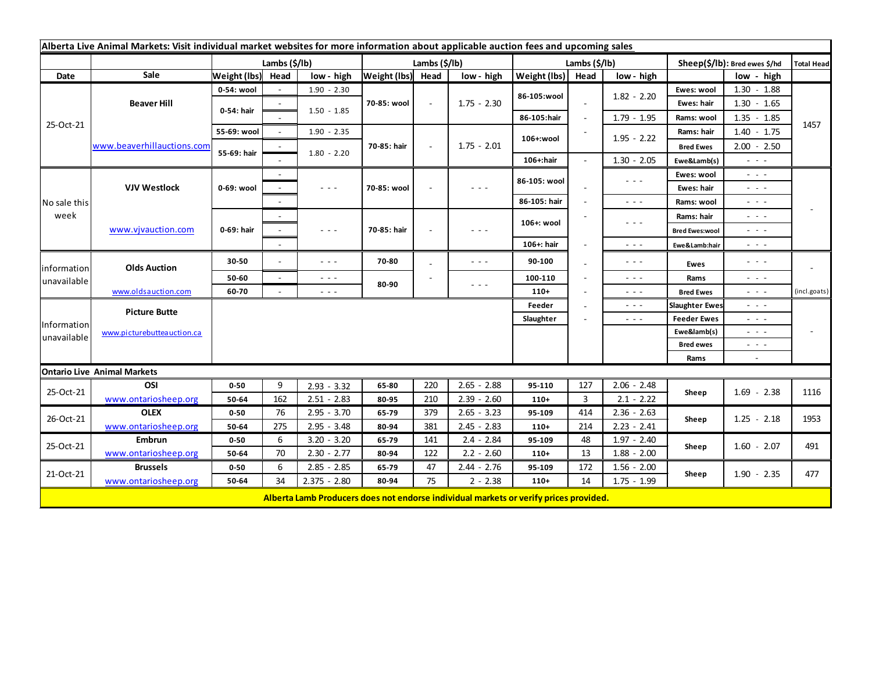| Alberta Live Animal Markets: Visit individual market websites for more information about applicable auction fees and upcoming sales |                            |                           |                 |                                                                                                                           |                   |        |                      |               |                |                                                                                                                           |                               |                                                                                                                           |                   |  |  |
|-------------------------------------------------------------------------------------------------------------------------------------|----------------------------|---------------------------|-----------------|---------------------------------------------------------------------------------------------------------------------------|-------------------|--------|----------------------|---------------|----------------|---------------------------------------------------------------------------------------------------------------------------|-------------------------------|---------------------------------------------------------------------------------------------------------------------------|-------------------|--|--|
|                                                                                                                                     |                            | Lambs $(\frac{2}{3})$ lb) |                 |                                                                                                                           | Lambs (\$/lb)     |        |                      | Lambs (\$/lb) |                |                                                                                                                           | Sheep(\$/lb): Bred ewes \$/hd |                                                                                                                           | <b>Total Head</b> |  |  |
| Date                                                                                                                                | Sale                       | Weight (lbs) Head         |                 | low - high                                                                                                                | Weight (lbs) Head |        | low - high           | Weight (lbs)  | Head           | low - high                                                                                                                |                               | low - high                                                                                                                |                   |  |  |
| 25-Oct-21                                                                                                                           | <b>Beaver Hill</b>         | 0-54: wool                |                 | $1.90 - 2.30$                                                                                                             | 70-85: wool       | $\sim$ | $1.75 - 2.30$        | 86-105:wool   |                | $1.82 - 2.20$                                                                                                             | Ewes: wool                    | $1.30 - 1.88$                                                                                                             |                   |  |  |
|                                                                                                                                     |                            | 0-54: hair                |                 |                                                                                                                           |                   |        |                      |               | $\sim$         |                                                                                                                           | Ewes: hair                    | $1.30 - 1.65$                                                                                                             |                   |  |  |
|                                                                                                                                     |                            |                           |                 | $1.50 - 1.85$                                                                                                             |                   |        |                      | 86-105:hair   | $\blacksquare$ | $1.79 - 1.95$                                                                                                             | Rams: wool                    | $1.35 - 1.85$                                                                                                             |                   |  |  |
|                                                                                                                                     | www.beaverhillauctions.com | 55-69: wool               | $\sim$          | $1.90 - 2.35$                                                                                                             |                   |        | $1.75 - 2.01$        | 106+:wool     |                | $1.95 - 2.22$                                                                                                             | Rams: hair                    | $1.40 - 1.75$                                                                                                             | 1457              |  |  |
|                                                                                                                                     |                            | 55-69: hair               |                 |                                                                                                                           | 70-85: hair       |        |                      |               |                |                                                                                                                           | <b>Bred Ewes</b>              | $2.00 - 2.50$                                                                                                             |                   |  |  |
|                                                                                                                                     |                            |                           |                 | $1.80 - 2.20$                                                                                                             |                   |        |                      | 106+:hair     |                | $1.30 - 2.05$                                                                                                             | Ewe&Lamb(s)                   | $\omega_{\rm{eff}}$ and $\omega_{\rm{eff}}$                                                                               |                   |  |  |
| No sale this<br>week                                                                                                                | <b>VJV Westlock</b>        | 0-69: wool                |                 |                                                                                                                           | 70-85: wool       |        | - - -                | 86-105: wool  |                | $\frac{1}{2} \left( \frac{1}{2} \right) \frac{1}{2} \left( \frac{1}{2} \right) \frac{1}{2} \left( \frac{1}{2} \right)$    | Ewes: wool                    | $\sim$ 100 $\pm$                                                                                                          |                   |  |  |
|                                                                                                                                     |                            |                           |                 | $\frac{1}{2} \left( \frac{1}{2} \right) \left( \frac{1}{2} \right) \left( \frac{1}{2} \right) \left( \frac{1}{2} \right)$ |                   |        |                      |               |                |                                                                                                                           | Ewes: hair                    | - - -                                                                                                                     |                   |  |  |
|                                                                                                                                     |                            |                           |                 |                                                                                                                           |                   |        |                      | 86-105: hair  |                | $\frac{1}{2} \left( \frac{1}{2} \right) \frac{1}{2} \left( \frac{1}{2} \right)$                                           | Rams: wool                    | $\sim$ 100 $\sim$                                                                                                         |                   |  |  |
|                                                                                                                                     | www.vjvauction.com         | 0-69: hair                |                 |                                                                                                                           | 70-85: hair       |        | - - -                | 106+: wool    |                | $\frac{1}{2} \left( \frac{1}{2} \right) \left( \frac{1}{2} \right) \left( \frac{1}{2} \right) \left( \frac{1}{2} \right)$ | Rams: hair                    | $\sim$ $\sim$ $\sim$                                                                                                      |                   |  |  |
|                                                                                                                                     |                            |                           |                 | $\sim$ $\sim$ $\sim$                                                                                                      |                   |        |                      |               |                |                                                                                                                           | <b>Bred Ewes:wool</b>         | $\omega_{\rm{eff}}$ and $\omega_{\rm{eff}}$                                                                               |                   |  |  |
|                                                                                                                                     |                            |                           |                 |                                                                                                                           |                   |        |                      | 106+: hair    |                | $  -$                                                                                                                     | Ewe&Lamb:hair                 | - - -                                                                                                                     |                   |  |  |
| information<br>unavailable                                                                                                          | <b>Olds Auction</b>        | 30-50                     |                 | $\sim$ $\sim$ $\sim$                                                                                                      | 70-80             |        | - - -                | 90-100        |                | $\frac{1}{2} \left( \frac{1}{2} \right) \frac{1}{2} \left( \frac{1}{2} \right) \frac{1}{2} \left( \frac{1}{2} \right)$    | Ewes                          | $\frac{1}{2} \left( \frac{1}{2} \right) \left( \frac{1}{2} \right) \left( \frac{1}{2} \right) \left( \frac{1}{2} \right)$ |                   |  |  |
|                                                                                                                                     |                            | 50-60                     | $\sim$          | $\sim$ $\sim$ $\sim$                                                                                                      |                   |        |                      | 100-110       | $\sim$         | $\frac{1}{2} \left( \frac{1}{2} \right) \frac{1}{2} \left( \frac{1}{2} \right) \frac{1}{2} \left( \frac{1}{2} \right)$    | Rams                          | $\sim$ 10 $\sim$                                                                                                          |                   |  |  |
|                                                                                                                                     | www.oldsauction.com        | 60-70                     |                 | $\sim$ $\sim$ $\sim$                                                                                                      | 80-90             |        | $\sim$ $\sim$ $\sim$ | $110+$        |                | $\frac{1}{2} \left( \frac{1}{2} \right) \frac{1}{2} \left( \frac{1}{2} \right) \frac{1}{2} \left( \frac{1}{2} \right)$    | <b>Bred Ewes</b>              | $\omega_{\rm{eff}}=0.1$                                                                                                   | (incl.goats)      |  |  |
| Information<br>unavailable                                                                                                          | <b>Picture Butte</b>       |                           | Feeder<br>$  -$ |                                                                                                                           |                   |        |                      |               |                |                                                                                                                           | <b>Slaughter Ewes</b>         | - - -                                                                                                                     |                   |  |  |
|                                                                                                                                     | www.picturebutteauction.ca |                           |                 |                                                                                                                           |                   |        |                      | Slaughter     |                | $  -$                                                                                                                     | <b>Feeder Ewes</b>            | $  -$                                                                                                                     |                   |  |  |
|                                                                                                                                     |                            |                           |                 |                                                                                                                           |                   |        |                      |               |                |                                                                                                                           | Ewe&lamb(s)                   | $\mathbf{L} = \mathbf{L} \mathbf{L}$                                                                                      |                   |  |  |
|                                                                                                                                     |                            |                           |                 |                                                                                                                           |                   |        |                      |               |                |                                                                                                                           | <b>Bred ewes</b>              | $\sim$ $\sim$ $\sim$                                                                                                      |                   |  |  |
|                                                                                                                                     |                            |                           |                 |                                                                                                                           |                   |        |                      |               |                |                                                                                                                           | Rams                          | $\sim$                                                                                                                    |                   |  |  |
| <b>Ontario Live Animal Markets</b>                                                                                                  |                            |                           |                 |                                                                                                                           |                   |        |                      |               |                |                                                                                                                           |                               |                                                                                                                           |                   |  |  |
| 25-Oct-21                                                                                                                           | OSI                        | $0 - 50$                  | 9               | $2.93 - 3.32$                                                                                                             | 65-80             | 220    | $2.65 - 2.88$        | 95-110        | 127            | $2.06 - 2.48$                                                                                                             | Sheep                         | $1.69 - 2.38$                                                                                                             | 1116              |  |  |
|                                                                                                                                     | www.ontariosheep.org       | 50-64                     | 162             | $2.51 - 2.83$                                                                                                             | 80-95             | 210    | $2.39 - 2.60$        | $110+$        | 3              | $2.1 - 2.22$                                                                                                              |                               |                                                                                                                           |                   |  |  |
| 26-Oct-21                                                                                                                           | <b>OLEX</b>                | $0 - 50$                  | 76              | $2.95 - 3.70$                                                                                                             | 65-79             | 379    | $2.65 - 3.23$        | 95-109        | 414            | $2.36 - 2.63$                                                                                                             | Sheep                         | $1.25 - 2.18$                                                                                                             | 1953              |  |  |
|                                                                                                                                     | www.ontariosheep.org       | 50-64                     | 275             | $2.95 - 3.48$                                                                                                             | 80-94             | 381    | $2.45 - 2.83$        | $110+$        | 214            | $2.23 - 2.41$                                                                                                             |                               |                                                                                                                           |                   |  |  |
| 25-Oct-21                                                                                                                           | <b>Embrun</b>              | $0 - 50$                  | 6               | $3.20 - 3.20$                                                                                                             | 65-79             | 141    | $2.4 - 2.84$         | 95-109        | 48             | $1.97 - 2.40$                                                                                                             | Sheep                         | $1.60 - 2.07$                                                                                                             | 491               |  |  |
|                                                                                                                                     | www.ontariosheep.org       | 50-64                     | 70              | $2.30 - 2.77$                                                                                                             | 80-94             | 122    | $2.2 - 2.60$         | $110+$        | 13             | $1.88 - 2.00$                                                                                                             |                               |                                                                                                                           |                   |  |  |
| 21-Oct-21                                                                                                                           | <b>Brussels</b>            | $0 - 50$                  | 6               | $2.85 - 2.85$                                                                                                             | 65-79             | 47     | $2.44 - 2.76$        | 95-109        | 172            | $1.56 - 2.00$                                                                                                             | Sheep                         | $1.90 - 2.35$                                                                                                             | 477               |  |  |
|                                                                                                                                     | www.ontariosheep.org       | 50-64                     | 34              | $2.375 - 2.80$                                                                                                            | 80-94             | 75     | $2 - 2.38$           | $110+$        | 14             | $1.75 - 1.99$                                                                                                             |                               |                                                                                                                           |                   |  |  |
|                                                                                                                                     |                            |                           |                 | Alberta Lamb Producers does not endorse individual markets or verify prices provided.                                     |                   |        |                      |               |                |                                                                                                                           |                               |                                                                                                                           |                   |  |  |